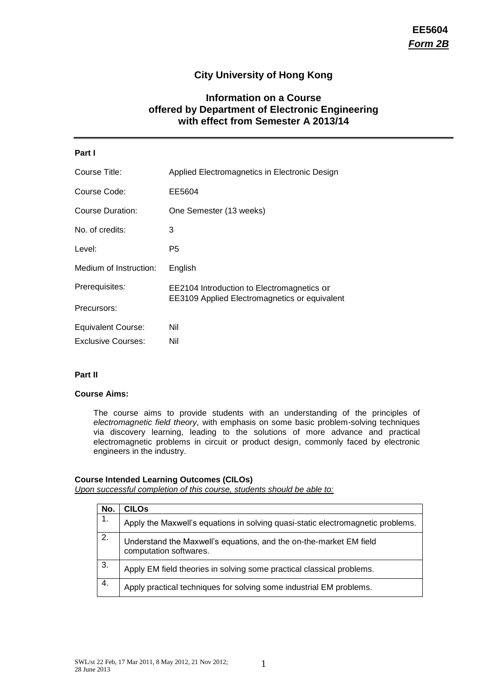# **City University of Hong Kong**

# **Information on a Course offered by Department of Electronic Engineering with effect from Semester A 2013/14**

| Part I                    |                                               |
|---------------------------|-----------------------------------------------|
| Course Title:             | Applied Electromagnetics in Electronic Design |
| Course Code:              | EE5604                                        |
| Course Duration:          | One Semester (13 weeks)                       |
| No. of credits:           | 3                                             |
| Level:                    | P5                                            |
| Medium of Instruction:    | English                                       |
| Prerequisites:            | EE2104 Introduction to Electromagnetics or    |
| Precursors:               | EE3109 Applied Electromagnetics or equivalent |
| <b>Equivalent Course:</b> | Nil                                           |
| Exclusive Courses:        | Nil                                           |

### **Part II**

# **Course Aims:**

The course aims to provide students with an understanding of the principles of *electromagnetic field theory,* with emphasis on some basic problem-solving techniques via discovery learning, leading to the solutions of more advance and practical electromagnetic problems in circuit or product design, commonly faced by electronic engineers in the industry.

# **Course Intended Learning Outcomes (CILOs)**

*Upon successful completion of this course, students should be able to:*

| No. | CILOs                                                                                        |
|-----|----------------------------------------------------------------------------------------------|
| 1.  | Apply the Maxwell's equations in solving quasi-static electromagnetic problems.              |
| 2.  | Understand the Maxwell's equations, and the on-the-market EM field<br>computation softwares. |
| 3.  | Apply EM field theories in solving some practical classical problems.                        |
| 4.  | Apply practical techniques for solving some industrial EM problems.                          |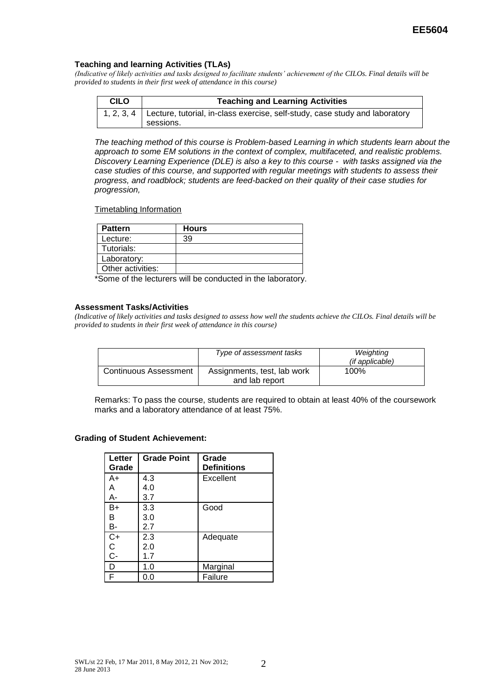#### **Teaching and learning Activities (TLAs)**

*(Indicative of likely activities and tasks designed to facilitate students' achievement of the CILOs. Final details will be provided to students in their first week of attendance in this course)*

| <b>CILO</b> | <b>Teaching and Learning Activities</b>                                                               |  |
|-------------|-------------------------------------------------------------------------------------------------------|--|
|             | 1, 2, 3, 4   Lecture, tutorial, in-class exercise, self-study, case study and laboratory<br>sessions. |  |

*The teaching method of this course is Problem-based Learning in which students learn about the approach to some EM solutions in the context of complex, multifaceted, and realistic problems. Discovery Learning Experience (DLE) is also a key to this course - with tasks assigned via the case studies of this course, and supported with regular meetings with students to assess their progress, and roadblock; students are feed-backed on their quality of their case studies for progression,*

#### Timetabling Information

| <b>Pattern</b>    | <b>Hours</b> |
|-------------------|--------------|
| Lecture:          | 39           |
| Tutorials:        |              |
| Laboratory:       |              |
| Other activities: |              |

\*Some of the lecturers will be conducted in the laboratory.

#### **Assessment Tasks/Activities**

*(Indicative of likely activities and tasks designed to assess how well the students achieve the CILOs. Final details will be provided to students in their first week of attendance in this course)*

|                              | Type of assessment tasks                      | Weighting<br><i>(if applicable)</i> |
|------------------------------|-----------------------------------------------|-------------------------------------|
| <b>Continuous Assessment</b> | Assignments, test, lab work<br>and lab report | 100%                                |

Remarks: To pass the course, students are required to obtain at least 40% of the coursework marks and a laboratory attendance of at least 75%.

#### **Grading of Student Achievement:**

| Letter<br>Grade | <b>Grade Point</b> | Grade<br><b>Definitions</b> |
|-----------------|--------------------|-----------------------------|
| A+              | 4.3                | Excellent                   |
| A               | 4.0                |                             |
| А-              | 3.7                |                             |
| B+              | 3.3                | Good                        |
| B               | 3.0                |                             |
| В-              | 2.7                |                             |
| $C+$            | 2.3                | Adequate                    |
| C<br>C-         | 2.0                |                             |
|                 | 1.7                |                             |
| D               | 1.0                | Marginal                    |
| F               | 0.0                | Failure                     |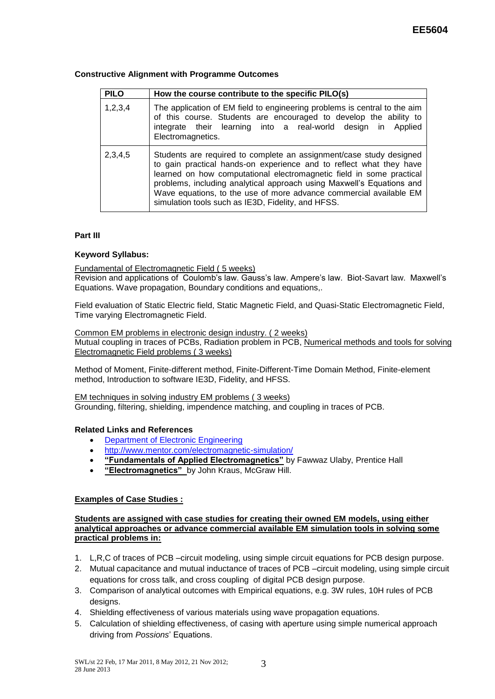## **Constructive Alignment with Programme Outcomes**

| <b>PILO</b> | How the course contribute to the specific PILO(s)                                                                                                                                                                                                                                                                                                                                                                       |
|-------------|-------------------------------------------------------------------------------------------------------------------------------------------------------------------------------------------------------------------------------------------------------------------------------------------------------------------------------------------------------------------------------------------------------------------------|
| 1,2,3,4     | The application of EM field to engineering problems is central to the aim<br>of this course. Students are encouraged to develop the ability to<br>integrate their learning into a real-world design in Applied<br>Electromagnetics.                                                                                                                                                                                     |
| 2,3,4,5     | Students are required to complete an assignment/case study designed<br>to gain practical hands-on experience and to reflect what they have<br>learned on how computational electromagnetic field in some practical<br>problems, including analytical approach using Maxwell's Equations and<br>Wave equations, to the use of more advance commercial available EM<br>simulation tools such as IE3D, Fidelity, and HFSS. |

# **Part III**

# **Keyword Syllabus:**

### Fundamental of Electromagnetic Field ( 5 weeks)

Revision and applications of Coulomb's law. Gauss's law. Ampere's law. Biot-Savart law. Maxwell's Equations. Wave propagation, Boundary conditions and equations,.

Field evaluation of Static Electric field, Static Magnetic Field, and Quasi-Static Electromagnetic Field, Time varying Electromagnetic Field.

### Common EM problems in electronic design industry. ( 2 weeks)

Mutual coupling in traces of PCBs, Radiation problem in PCB, Numerical methods and tools for solving Electromagnetic Field problems ( 3 weeks)

Method of Moment, Finite-different method, Finite-Different-Time Domain Method, Finite-element method, Introduction to software IE3D, Fidelity, and HFSS.

EM techniques in solving industry EM problems ( 3 weeks) Grounding, filtering, shielding, impendence matching, and coupling in traces of PCB.

### **Related Links and References**

- [Department of Electronic Engineering](http://www.cityu.edu.hk/ee)
- <http://www.mentor.com/electromagnetic-simulation/>
- **"Fundamentals of Applied Electromagnetics"** by Fawwaz Ulaby, Prentice Hall
- **"Electromagnetics"** by John Kraus, McGraw Hill.

### **Examples of Case Studies :**

**Students are assigned with case studies for creating their owned EM models, using either analytical approaches or advance commercial available EM simulation tools in solving some practical problems in:**

- 1. L,R,C of traces of PCB –circuit modeling, using simple circuit equations for PCB design purpose.
- 2. Mutual capacitance and mutual inductance of traces of PCB –circuit modeling, using simple circuit equations for cross talk, and cross coupling of digital PCB design purpose.
- 3. Comparison of analytical outcomes with Empirical equations, e.g. 3W rules, 10H rules of PCB designs.
- 4. Shielding effectiveness of various materials using wave propagation equations.
- 5. Calculation of shielding effectiveness, of casing with aperture using simple numerical approach driving from *Possions*' Equations.